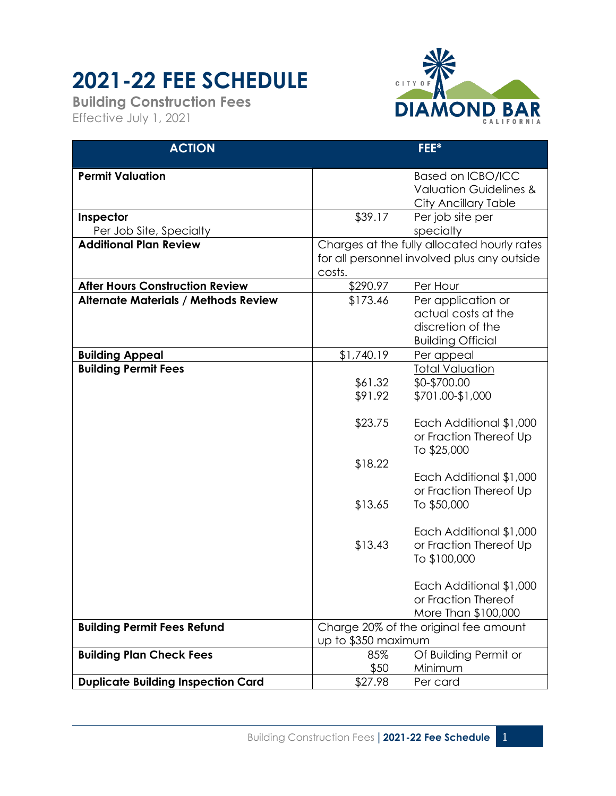## **2021-22 FEE SCHEDULE**

**Building Construction Fees** Effective July 1, 2021



| <b>ACTION</b>                                         |                                             | FEE*                                 |  |
|-------------------------------------------------------|---------------------------------------------|--------------------------------------|--|
| <b>Permit Valuation</b>                               |                                             | <b>Based on ICBO/ICC</b>             |  |
|                                                       |                                             | <b>Valuation Guidelines &amp;</b>    |  |
|                                                       |                                             | City Ancillary Table                 |  |
| Inspector                                             | \$39.17                                     | Per job site per                     |  |
| Per Job Site, Specialty                               |                                             | specialty                            |  |
| <b>Additional Plan Review</b>                         | Charges at the fully allocated hourly rates |                                      |  |
|                                                       | for all personnel involved plus any outside |                                      |  |
|                                                       | costs.                                      |                                      |  |
| <b>After Hours Construction Review</b>                | \$290.97                                    | Per Hour                             |  |
| <b>Alternate Materials / Methods Review</b>           | \$173.46                                    | Per application or                   |  |
|                                                       |                                             | actual costs at the                  |  |
|                                                       |                                             | discretion of the                    |  |
|                                                       | \$1,740.19                                  | <b>Building Official</b>             |  |
| <b>Building Appeal</b><br><b>Building Permit Fees</b> |                                             | Per appeal<br><b>Total Valuation</b> |  |
|                                                       | \$61.32                                     | \$0-\$700.00                         |  |
|                                                       | \$91.92                                     | \$701.00-\$1,000                     |  |
|                                                       |                                             |                                      |  |
|                                                       | \$23.75                                     | Each Additional \$1,000              |  |
|                                                       |                                             | or Fraction Thereof Up               |  |
|                                                       |                                             | To \$25,000                          |  |
|                                                       | \$18.22                                     |                                      |  |
|                                                       |                                             | Each Additional \$1,000              |  |
|                                                       |                                             | or Fraction Thereof Up               |  |
|                                                       | \$13.65                                     | To \$50,000                          |  |
|                                                       |                                             | Each Additional \$1,000              |  |
|                                                       | \$13.43                                     | or Fraction Thereof Up               |  |
|                                                       |                                             | To \$100,000                         |  |
|                                                       |                                             |                                      |  |
|                                                       |                                             | Each Additional \$1,000              |  |
|                                                       |                                             | or Fraction Thereof                  |  |
|                                                       |                                             | More Than \$100,000                  |  |
| <b>Building Permit Fees Refund</b>                    | Charge 20% of the original fee amount       |                                      |  |
|                                                       |                                             | up to \$350 maximum                  |  |
| <b>Building Plan Check Fees</b>                       | 85%                                         | Of Building Permit or                |  |
|                                                       | \$50                                        | Minimum                              |  |
| <b>Duplicate Building Inspection Card</b>             | \$27.98                                     | Per card                             |  |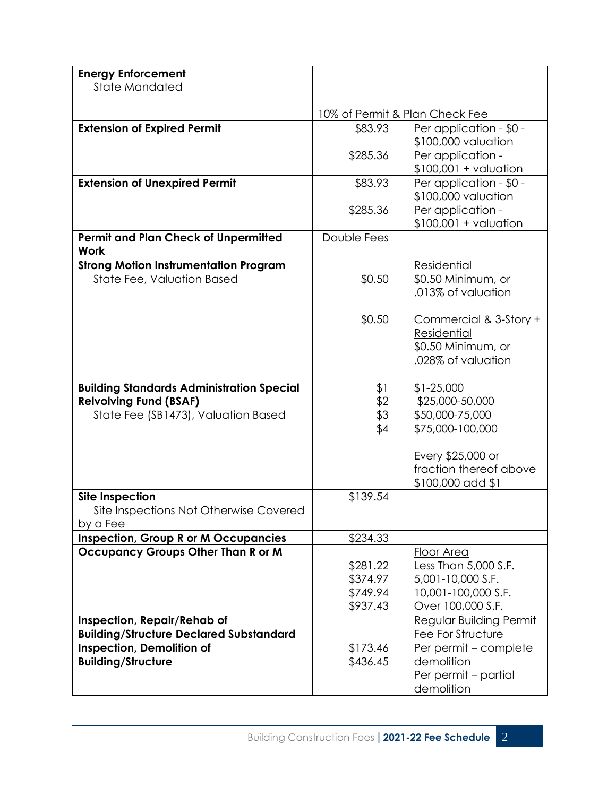| <b>Energy Enforcement</b>                        |                                |                                    |
|--------------------------------------------------|--------------------------------|------------------------------------|
| State Mandated                                   |                                |                                    |
|                                                  |                                |                                    |
|                                                  | 10% of Permit & Plan Check Fee |                                    |
| <b>Extension of Expired Permit</b>               | \$83.93                        | Per application - \$0 -            |
|                                                  |                                | \$100,000 valuation                |
|                                                  | \$285.36                       | Per application -                  |
|                                                  |                                | $$100,001 +$ valuation             |
| <b>Extension of Unexpired Permit</b>             | \$83.93                        | Per application - \$0 -            |
|                                                  |                                | \$100,000 valuation                |
|                                                  | \$285.36                       | Per application -                  |
|                                                  |                                | $$100,001 + valuation$             |
| <b>Permit and Plan Check of Unpermitted</b>      | Double Fees                    |                                    |
| <b>Work</b>                                      |                                |                                    |
| <b>Strong Motion Instrumentation Program</b>     |                                | Residential                        |
| State Fee, Valuation Based                       | \$0.50                         | \$0.50 Minimum, or                 |
|                                                  |                                | .013% of valuation                 |
|                                                  |                                |                                    |
|                                                  | \$0.50                         | Commercial & 3-Story +             |
|                                                  |                                | <b>Residential</b>                 |
|                                                  |                                | \$0.50 Minimum, or                 |
|                                                  |                                | .028% of valuation                 |
|                                                  |                                |                                    |
| <b>Building Standards Administration Special</b> | \$1                            | $$1-25,000$                        |
| <b>Relvolving Fund (BSAF)</b>                    | \$2                            | \$25,000-50,000<br>\$50,000-75,000 |
| State Fee (SB1473), Valuation Based              | \$3                            |                                    |
|                                                  | \$4                            | \$75,000-100,000                   |
|                                                  |                                | Every \$25,000 or                  |
|                                                  |                                | fraction thereof above             |
|                                                  |                                | \$100,000 add \$1                  |
| <b>Site Inspection</b>                           | \$139.54                       |                                    |
| Site Inspections Not Otherwise Covered           |                                |                                    |
| by a Fee                                         |                                |                                    |
| <b>Inspection, Group R or M Occupancies</b>      | \$234.33                       |                                    |
| <b>Occupancy Groups Other Than R or M</b>        |                                | Floor Area                         |
|                                                  | \$281.22                       | Less Than 5,000 S.F.               |
|                                                  | \$374.97                       | 5,001-10,000 S.F.                  |
|                                                  | \$749.94                       | 10,001-100,000 S.F.                |
|                                                  | \$937.43                       | Over 100,000 S.F.                  |
| Inspection, Repair/Rehab of                      |                                | Regular Building Permit            |
| <b>Building/Structure Declared Substandard</b>   |                                | Fee For Structure                  |
| <b>Inspection, Demolition of</b>                 | \$173.46                       | Per permit - complete              |
| <b>Building/Structure</b>                        | \$436.45                       | demolition                         |
|                                                  |                                | Per permit - partial               |
|                                                  |                                | demolition                         |